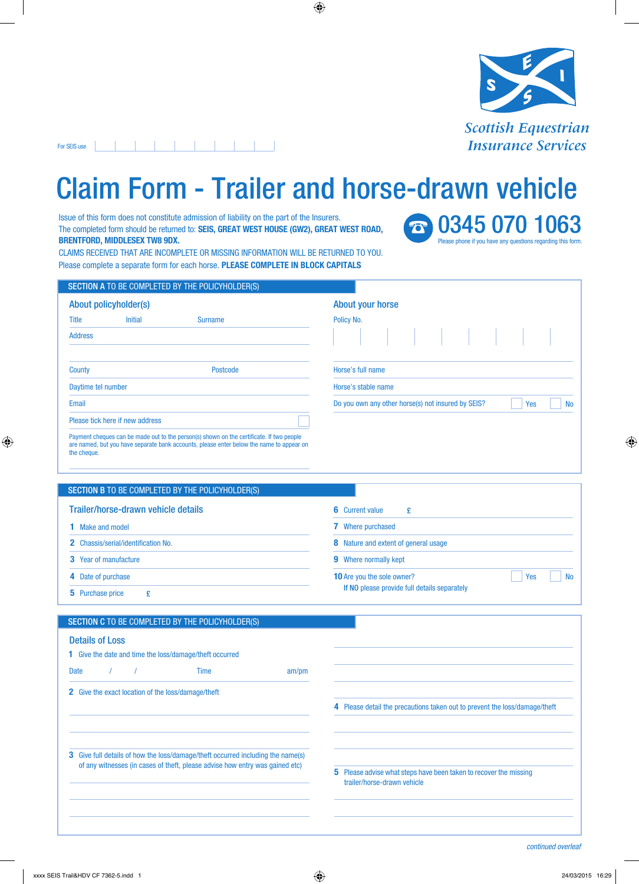

## For SEIS use | | | | | | | | | | | | | | |

## Claim Form - Trailer and horse-drawn vehicle

Issue of this form does not constitute admission of liability on the part of the Insurers. The completed form should be returned to: **SEIS, GREAT WEST HOUSE (GW2), GREAT WEST ROAD, BRENTFORD, MIDDLESEX TW8 9DX.**

**8 0345 070 1063** Please phone if you have any questions regarding this form.

CLAIMS RECEIVED THAT ARE INCOMPLETE OR MISSING INFORMATION WILL BE RETURNED TO YOU. Please complete a separate form for each horse. **PLEASE COMPLETE IN BLOCK CAPITALS**

|                                 |                | <b>SECTION A TO BE COMPLETED BY THE POLICYHOLDER(S)</b>                                                                                                                              |                                                    |  |  |  |  |  |     |           |
|---------------------------------|----------------|--------------------------------------------------------------------------------------------------------------------------------------------------------------------------------------|----------------------------------------------------|--|--|--|--|--|-----|-----------|
| About policyholder(s)           |                |                                                                                                                                                                                      | About your horse                                   |  |  |  |  |  |     |           |
| <b>Title</b>                    | <b>Initial</b> | <b>Surname</b>                                                                                                                                                                       | Policy No.                                         |  |  |  |  |  |     |           |
| <b>Address</b>                  |                |                                                                                                                                                                                      | .                                                  |  |  |  |  |  |     |           |
| County                          |                | Postcode                                                                                                                                                                             | Horse's full name                                  |  |  |  |  |  |     |           |
| Daytime tel number              |                |                                                                                                                                                                                      | Horse's stable name                                |  |  |  |  |  |     |           |
| Email                           |                |                                                                                                                                                                                      | Do you own any other horse(s) not insured by SEIS? |  |  |  |  |  | Yes | <b>No</b> |
| Please tick here if new address |                |                                                                                                                                                                                      |                                                    |  |  |  |  |  |     |           |
| the cheque.                     |                | Payment cheques can be made out to the person(s) shown on the certificate. If two people<br>are named, but you have separate bank accounts, please enter below the name to appear on |                                                    |  |  |  |  |  |     |           |

## SECTION B TO BE COMPLETED BY THE POLICYHOLDER(S)

| Trailer/horse-drawn vehicle details        | 6 Current value                              |  |  |  |  |  |  |  |
|--------------------------------------------|----------------------------------------------|--|--|--|--|--|--|--|
| <b>1</b> Make and model                    | <b>7</b> Where purchased                     |  |  |  |  |  |  |  |
| <b>2</b> Chassis/serial/identification No. | <b>8</b> Nature and extent of general usage  |  |  |  |  |  |  |  |
| <b>3</b> Year of manufacture               | <b>9</b> Where normally kept                 |  |  |  |  |  |  |  |
| 4 Date of purchase                         | Yes<br><b>10</b> Are you the sole owner?     |  |  |  |  |  |  |  |
| <b>5</b> Purchase price                    | If NO please provide full details separately |  |  |  |  |  |  |  |

| SECTION C TO BE COMPLETED BY THE POLICYHOLDER(S)                                                                                                                       |                                                                                                      |
|------------------------------------------------------------------------------------------------------------------------------------------------------------------------|------------------------------------------------------------------------------------------------------|
| <b>Details of Loss</b><br><b>1</b> Give the date and time the loss/damage/theft occurred                                                                               |                                                                                                      |
| <b>Date</b><br><b>Time</b><br>am/m                                                                                                                                     |                                                                                                      |
| <b>2</b> Give the exact location of the loss/damage/theft                                                                                                              |                                                                                                      |
|                                                                                                                                                                        | 4 Please detail the precautions taken out to prevent the loss/damage/theft                           |
|                                                                                                                                                                        |                                                                                                      |
|                                                                                                                                                                        |                                                                                                      |
| <b>3</b> Give full details of how the loss/damage/theft occurred including the name(s)<br>of any witnesses (in cases of theft, please advise how entry was gained etc) |                                                                                                      |
|                                                                                                                                                                        | Please advise what steps have been taken to recover the missing<br>5.<br>trailer/horse-drawn vehicle |
|                                                                                                                                                                        |                                                                                                      |
|                                                                                                                                                                        |                                                                                                      |
|                                                                                                                                                                        |                                                                                                      |